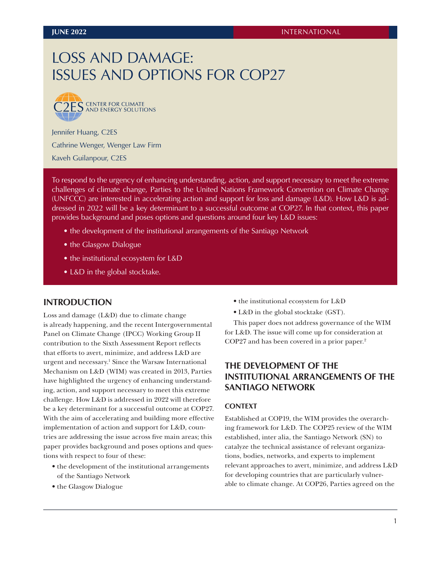# LOSS AND DAMAGE: ISSUES AND OPTIONS FOR COP27



Jennifer Huang, C2ES Cathrine Wenger, Wenger Law Firm

Kaveh Guilanpour, C2ES

To respond to the urgency of enhancing understanding, action, and support necessary to meet the extreme challenges of climate change, Parties to the United Nations Framework Convention on Climate Change (UNFCCC) are interested in accelerating action and support for loss and damage (L&D). How L&D is addressed in 2022 will be a key determinant to a successful outcome at COP27. In that context, this paper provides background and poses options and questions around four key L&D issues:

- the development of the institutional arrangements of the Santiago Network
- the Glasgow Dialogue
- the institutional ecosystem for L&D
- L&D in the global stocktake.

### **INTRODUCTION**

Loss and damage (L&D) due to climate change is already happening, and the recent Intergovernmental Panel on Climate Change (IPCC) Working Group II contribution to the Sixth Assessment Report reflects that efforts to avert, minimize, and address L&D are urgent and necessary.<sup>1</sup> Since the Warsaw International Mechanism on L&D (WIM) was created in 2013, Parties have highlighted the urgency of enhancing understanding, action, and support necessary to meet this extreme challenge. How L&D is addressed in 2022 will therefore be a key determinant for a successful outcome at COP27. With the aim of accelerating and building more effective implementation of action and support for L&D, countries are addressing the issue across five main areas; this paper provides background and poses options and questions with respect to four of these:

- the development of the institutional arrangements of the Santiago Network
- the Glasgow Dialogue
- the institutional ecosystem for L&D
- L&D in the global stocktake (GST).

This paper does not address governance of the WIM for L&D. The issue will come up for consideration at COP27 and has been covered in a prior paper.2

# **THE DEVELOPMENT OF THE INSTITUTIONAL ARRANGEMENTS OF THE SANTIAGO NETWORK**

#### **CONTEXT**

Established at COP19, the WIM provides the overarching framework for L&D. The COP25 review of the WIM established, inter alia, the Santiago Network (SN) to catalyze the technical assistance of relevant organizations, bodies, networks, and experts to implement relevant approaches to avert, minimize, and address L&D for developing countries that are particularly vulnerable to climate change. At COP26, Parties agreed on the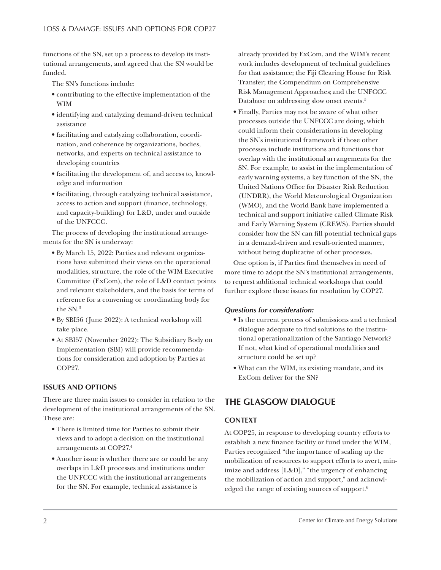functions of the SN, set up a process to develop its institutional arrangements, and agreed that the SN would be funded.

The SN's functions include:

- contributing to the effective implementation of the WIM
- identifying and catalyzing demand-driven technical assistance
- facilitating and catalyzing collaboration, coordination, and coherence by organizations, bodies, networks, and experts on technical assistance to developing countries
- facilitating the development of, and access to, knowledge and information
- facilitating, through catalyzing technical assistance, access to action and support (finance, technology, and capacity-building) for L&D, under and outside of the UNFCCC.

The process of developing the institutional arrangements for the SN is underway:

- By March 15, 2022: Parties and relevant organizations have submitted their views on the operational modalities, structure, the role of the WIM Executive Committee (ExCom), the role of L&D contact points and relevant stakeholders, and the basis for terms of reference for a convening or coordinating body for the SN.<sup>3</sup>
- By SBI56 (June 2022): A technical workshop will take place.
- At SBI57 (November 2022): The Subsidiary Body on Implementation (SBI) will provide recommendations for consideration and adoption by Parties at COP27.

### **ISSUES AND OPTIONS**

There are three main issues to consider in relation to the development of the institutional arrangements of the SN. These are:

- There is limited time for Parties to submit their views and to adopt a decision on the institutional arrangements at COP27.4
- Another issue is whether there are or could be any overlaps in L&D processes and institutions under the UNFCCC with the institutional arrangements for the SN. For example, technical assistance is

already provided by ExCom, and the WIM's recent work includes development of technical guidelines for that assistance; the Fiji Clearing House for Risk Transfer; the Compendium on Comprehensive Risk Management Approaches; and the UNFCCC Database on addressing slow onset events.<sup>5</sup>

• Finally, Parties may not be aware of what other processes outside the UNFCCC are doing, which could inform their considerations in developing the SN's institutional framework if those other processes include institutions and functions that overlap with the institutional arrangements for the SN. For example, to assist in the implementation of early warning systems, a key function of the SN, the United Nations Office for Disaster Risk Reduction (UNDRR), the World Meteorological Organization (WMO), and the World Bank have implemented a technical and support initiative called Climate Risk and Early Warning System (CREWS). Parties should consider how the SN can fill potential technical gaps in a demand-driven and result-oriented manner, without being duplicative of other processes.

One option is, if Parties find themselves in need of more time to adopt the SN's institutional arrangements, to request additional technical workshops that could further explore these issues for resolution by COP27.

### *Questions for consideration:*

- Is the current process of submissions and a technical dialogue adequate to find solutions to the institutional operationalization of the Santiago Network? If not, what kind of operational modalities and structure could be set up?
- What can the WIM, its existing mandate, and its ExCom deliver for the SN?

# **THE GLASGOW DIALOGUE**

# **CONTEXT**

At COP25, in response to developing country efforts to establish a new finance facility or fund under the WIM, Parties recognized "the importance of scaling up the mobilization of resources to support efforts to avert, minimize and address [L&D]," "the urgency of enhancing the mobilization of action and support," and acknowledged the range of existing sources of support.6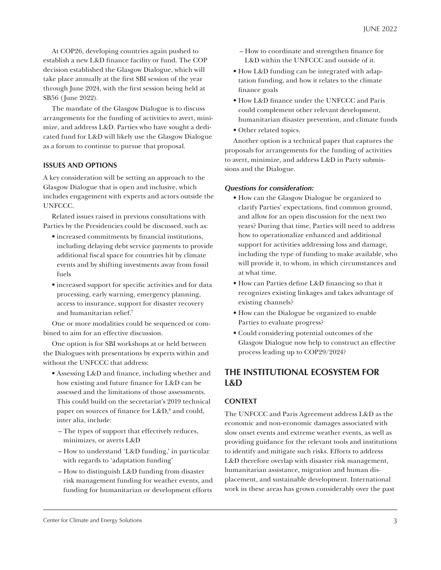At COP26, developing countries again pushed to establish a new L&D finance facility or fund. The COP decision established the Glasgow Dialogue, which will take place annually at the first SBI session of the year through June 2024, with the first session being held at SB56 (June 2022).

The mandate of the Glasgow Dialogue is to discuss arrangements for the funding of activities to avert, minimize, and address L&D. Parties who have sought a dedicated fund for L&D will likely use the Glasgow Dialogue as a forum to continue to pursue that proposal.

### **ISSUES AND OPTIONS**

A key consideration will be setting an approach to the Glasgow Dialogue that is open and inclusive, which includes engagement with experts and actors outside the UNFCCC.

Related issues raised in previous consultations with Parties by the Presidencies could be discussed, such as:

- increased commitments by financial institutions, including delaying debt service payments to provide additional fiscal space for countries hit by climate events and by shifting investments away from fossil fuels
- increased support for specific activities and for data processing, early warning, emergency planning, access to insurance, support for disaster recovery and humanitarian relief.7

One or more modalities could be sequenced or combined to aim for an effective discussion.

One option is for SBI workshops at or held between the Dialogues with presentations by experts within and without the UNFCCC that address:

- Assessing L&D and finance, including whether and how existing and future finance for L&D can be assessed and the limitations of those assessments. This could build on the secretariat's 2019 technical paper on sources of finance for L&D,<sup>8</sup> and could, inter alia, include:
	- The types of support that effectively reduces, minimizes, or averts L&D
	- How to understand 'L&D funding,' in particular with regards to 'adaptation funding'
	- How to distinguish L&D funding from disaster risk management funding for weather events, and funding for humanitarian or development efforts
- How to coordinate and strengthen finance for L&D within the UNFCCC and outside of it.
- How L&D funding can be integrated with adaptation funding, and how it relates to the climate finance goals
- How L&D finance under the UNFCCC and Paris could complement other relevant development, humanitarian disaster prevention, and climate funds
- Other related topics.

Another option is a technical paper that captures the proposals for arrangements for the funding of activities to avert, minimize, and address L&D in Party submissions and the Dialogue.

#### *Questions for consideration:*

- How can the Glasgow Dialogue be organized to clarify Parties' expectations, find common ground, and allow for an open discussion for the next two years? During that time, Parties will need to address how to operationalize enhanced and additional support for activities addressing loss and damage, including the type of funding to make available, who will provide it, to whom, in which circumstances and at what time.
- How can Parties define L&D financing so that it recognizes existing linkages and takes advantage of existing channels?
- How can the Dialogue be organized to enable Parties to evaluate progress?
- Could considering potential outcomes of the Glasgow Dialogue now help to construct an effective process leading up to COP29/2024?

# **THE INSTITUTIONAL ECOSYSTEM FOR L&D**

### **CONTEXT**

The UNFCCC and Paris Agreement address L&D as the economic and non-economic damages associated with slow onset events and extreme weather events, as well as providing guidance for the relevant tools and institutions to identify and mitigate such risks. Efforts to address L&D therefore overlap with disaster risk management, humanitarian assistance, migration and human displacement, and sustainable development. International work in these areas has grown considerably over the past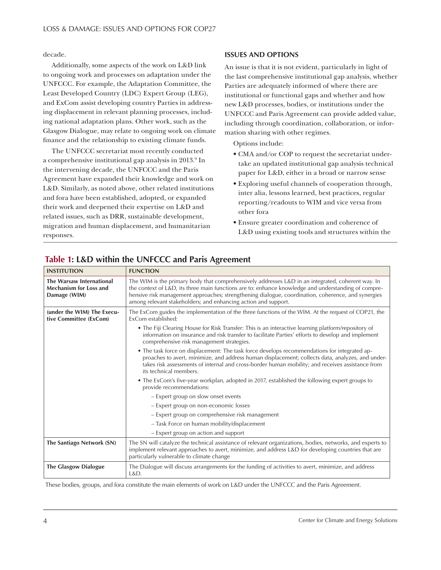decade.

Additionally, some aspects of the work on L&D link to ongoing work and processes on adaptation under the UNFCCC. For example, the Adaptation Committee, the Least Developed Country (LDC) Expert Group (LEG), and ExCom assist developing country Parties in addressing displacement in relevant planning processes, including national adaptation plans. Other work, such as the Glasgow Dialogue, may relate to ongoing work on climate finance and the relationship to existing climate funds.

The UNFCCC secretariat most recently conducted a comprehensive institutional gap analysis in 2013.<sup>9</sup> In the intervening decade, the UNFCCC and the Paris Agreement have expanded their knowledge and work on L&D. Similarly, as noted above, other related institutions and fora have been established, adopted, or expanded their work and deepened their expertise on L&D and related issues, such as DRR, sustainable development, migration and human displacement, and humanitarian responses.

### **ISSUES AND OPTIONS**

An issue is that it is not evident, particularly in light of the last comprehensive institutional gap analysis, whether Parties are adequately informed of where there are institutional or functional gaps and whether and how new L&D processes, bodies, or institutions under the UNFCCC and Paris Agreement can provide added value, including through coordination, collaboration, or information sharing with other regimes.

Options include:

- CMA and/or COP to request the secretariat undertake an updated institutional gap analysis technical paper for L&D, either in a broad or narrow sense
- Exploring useful channels of cooperation through, inter alia, lessons learned, best practices, regular reporting/readouts to WIM and vice versa from other fora
- Ensure greater coordination and coherence of L&D using existing tools and structures within the

| <b>INSTITUTION</b>                                                               | <b>FUNCTION</b>                                                                                                                                                                                                                                                                                                                                                                  |
|----------------------------------------------------------------------------------|----------------------------------------------------------------------------------------------------------------------------------------------------------------------------------------------------------------------------------------------------------------------------------------------------------------------------------------------------------------------------------|
| <b>The Warsaw International</b><br><b>Mechanism for Loss and</b><br>Damage (WIM) | The WIM is the primary body that comprehensively addresses L&D in an integrated, coherent way. In<br>the context of L&D, its three main functions are to: enhance knowledge and understanding of compre-<br>hensive risk management approaches; strengthening dialogue, coordination, coherence, and synergies<br>among relevant stakeholders; and enhancing action and support. |
| (under the WIM) The Execu-<br>tive Committee (ExCom)                             | The ExCom guides the implementation of the three functions of the WIM. At the request of COP21, the<br>ExCom established:                                                                                                                                                                                                                                                        |
|                                                                                  | • The Fiji Clearing House for Risk Transfer: This is an interactive learning platform/repository of<br>information on insurance and risk transfer to facilitate Parties' efforts to develop and implement<br>comprehensive risk management strategies.                                                                                                                           |
|                                                                                  | • The task force on displacement: The task force develops recommendations for integrated ap-<br>proaches to avert, minimize, and address human displacement; collects data, analyzes, and under-<br>takes risk assessments of internal and cross-border human mobility; and receives assistance from<br>its technical members.                                                   |
|                                                                                  | • The ExCom's five-year workplan, adopted in 2017, established the following expert groups to<br>provide recommendations:                                                                                                                                                                                                                                                        |
|                                                                                  | - Expert group on slow onset events                                                                                                                                                                                                                                                                                                                                              |
|                                                                                  | - Expert group on non-economic losses                                                                                                                                                                                                                                                                                                                                            |
|                                                                                  | - Expert group on comprehensive risk management                                                                                                                                                                                                                                                                                                                                  |
|                                                                                  | - Task Force on human mobility/displacement                                                                                                                                                                                                                                                                                                                                      |
|                                                                                  | - Expert group on action and support                                                                                                                                                                                                                                                                                                                                             |
| The Santiago Network (SN)                                                        | The SN will catalyze the technical assistance of relevant organizations, bodies, networks, and experts to<br>implement relevant approaches to avert, minimize, and address L&D for developing countries that are<br>particularly vulnerable to climate change                                                                                                                    |
| <b>The Glasgow Dialogue</b>                                                      | The Dialogue will discuss arrangements for the funding of activities to avert, minimize, and address<br>L&D.                                                                                                                                                                                                                                                                     |

# **Table 1: L&D within the UNFCCC and Paris Agreement**

These bodies, groups, and fora constitute the main elements of work on L&D under the UNFCCC and the Paris Agreement.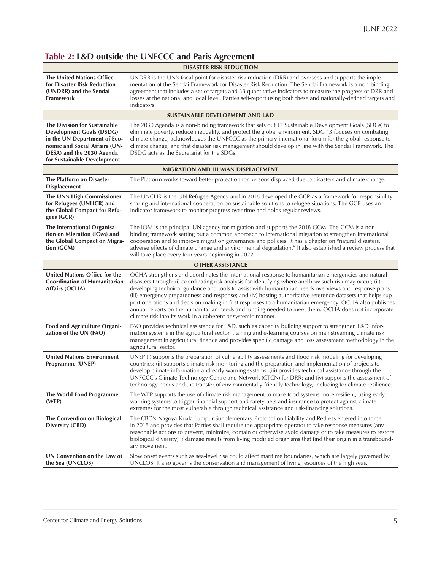# **Table 2: L&D outside the UNFCCC and Paris Agreement**

| <b>DISASTER RISK REDUCTION</b>                                                                                                                                                               |                                                                                                                                                                                                                                                                                                                                                                                                                                                                                                                                                                                                                                                                                                                               |  |
|----------------------------------------------------------------------------------------------------------------------------------------------------------------------------------------------|-------------------------------------------------------------------------------------------------------------------------------------------------------------------------------------------------------------------------------------------------------------------------------------------------------------------------------------------------------------------------------------------------------------------------------------------------------------------------------------------------------------------------------------------------------------------------------------------------------------------------------------------------------------------------------------------------------------------------------|--|
| <b>The United Nations Office</b><br>for Disaster Risk Reduction<br>(UNDRR) and the Sendai<br>Framework                                                                                       | UNDRR is the UN's focal point for disaster risk reduction (DRR) and oversees and supports the imple-<br>mentation of the Sendai Framework for Disaster Risk Reduction. The Sendai Framework is a non-binding<br>agreement that includes a set of targets and 38 quantitative indicators to measure the progress of DRR and<br>losses at the national and local level. Parties self-report using both these and nationally-defined targets and<br>indicators.                                                                                                                                                                                                                                                                  |  |
| <b>SUSTAINABLE DEVELOPMENT AND L&amp;D</b>                                                                                                                                                   |                                                                                                                                                                                                                                                                                                                                                                                                                                                                                                                                                                                                                                                                                                                               |  |
| The Division for Sustainable<br><b>Development Goals (DSDG)</b><br>in the UN Department of Eco-<br>nomic and Social Affairs (UN-<br>DESA) and the 2030 Agenda<br>for Sustainable Development | The 2030 Agenda is a non-binding framework that sets out 17 Sustainable Development Goals (SDGs) to<br>eliminate poverty, reduce inequality, and protect the global environment. SDG 13 focuses on combating<br>climate change, acknowledges the UNFCCC as the primary international forum for the global response to<br>climate change, and that disaster risk management should develop in line with the Sendai Framework. The<br>DSDG acts as the Secretariat for the SDGs.                                                                                                                                                                                                                                                |  |
| <b>MIGRATION AND HUMAN DISPLACEMENT</b>                                                                                                                                                      |                                                                                                                                                                                                                                                                                                                                                                                                                                                                                                                                                                                                                                                                                                                               |  |
| The Platform on Disaster<br><b>Displacement</b>                                                                                                                                              | The Platform works toward better protection for persons displaced due to disasters and climate change.                                                                                                                                                                                                                                                                                                                                                                                                                                                                                                                                                                                                                        |  |
| The UN's High Commissioner<br>for Refugees (UNHCR) and<br>the Global Compact for Refu-<br>gees (GCR)                                                                                         | The UNCHR is the UN Refugee Agency and in 2018 developed the GCR as a framework for responsibility-<br>sharing and international cooperation on sustainable solutions to refugee situations. The GCR uses an<br>indicator framework to monitor progress over time and holds regular reviews.                                                                                                                                                                                                                                                                                                                                                                                                                                  |  |
| The International Organisa-<br>tion on Migration (IOM) and<br>the Global Compact on Migra-<br>tion (GCM)                                                                                     | The IOM is the principal UN agency for migration and supports the 2018 GCM. The GCM is a non-<br>binding framework setting out a common approach to international migration to strengthen international<br>cooperation and to improve migration governance and policies. It has a chapter on "natural disasters,<br>adverse effects of climate change and environmental degradation." It also established a review process that<br>will take place every four years beginning in 2022.                                                                                                                                                                                                                                        |  |
| <b>OTHER ASSISTANCE</b>                                                                                                                                                                      |                                                                                                                                                                                                                                                                                                                                                                                                                                                                                                                                                                                                                                                                                                                               |  |
| United Nations Office for the<br><b>Coordination of Humanitarian</b><br>Affairs (OCHA)                                                                                                       | OCHA strengthens and coordinates the international response to humanitarian emergencies and natural<br>disasters through: (i) coordinating risk analysis for identifying where and how such risk may occur; (ii)<br>developing technical guidance and tools to assist with humanitarian needs overviews and response plans;<br>(iii) emergency preparedness and response; and (iv) hosting authoritative reference datasets that helps sup-<br>port operations and decision-making in first responses to a humanitarian emergency. OCHA also publishes<br>annual reports on the humanitarian needs and funding needed to meet them. OCHA does not incorporate<br>climate risk into its work in a coherent or systemic manner. |  |
| <b>Food and Agriculture Organi-</b><br>zation of the UN (FAO)                                                                                                                                | FAO provides technical assistance for L&D, such as capacity building support to strengthen L&D infor-<br>mation systems in the agricultural sector, training and e-learning courses on mainstreaming climate risk<br>management in agricultural finance and provides specific damage and loss assessment methodology in the<br>agricultural sector.                                                                                                                                                                                                                                                                                                                                                                           |  |
| <b>United Nations Environment</b><br>Programme (UNEP)                                                                                                                                        | UNEP (i) supports the preparation of vulnerability assessments and flood risk modeling for developing<br>countries; (ii) supports climate risk monitoring and the preparation and implementation of projects to<br>develop climate information and early warning systems; (iii) provides technical assistance through the<br>UNFCCC's Climate Technology Centre and Network (CTCN) for DRR; and (iv) supports the assessment of<br>technology needs and the transfer of environmentally-friendly technology, including for climate resilience.                                                                                                                                                                                |  |
| The World Food Programme<br>(WFP)                                                                                                                                                            | The WFP supports the use of climate risk management to make food systems more resilient, using early-<br>warning systems to trigger financial support and safety nets and insurance to protect against climate<br>extremes for the most vulnerable through technical assistance and risk-financing solutions.                                                                                                                                                                                                                                                                                                                                                                                                                 |  |
| The Convention on Biological<br>Diversity (CBD)                                                                                                                                              | The CBD's Nagoya-Kuala Lumpur Supplementary Protocol on Liability and Redress entered into force<br>in 2018 and provides that Parties shall require the appropriate operator to take response measures (any<br>reasonable actions to prevent, minimize, contain or otherwise avoid damage or to take measures to restore<br>biological diversity) if damage results from living modified organisms that find their origin in a transbound-<br>ary movement.                                                                                                                                                                                                                                                                   |  |
| UN Convention on the Law of<br>the Sea (UNCLOS)                                                                                                                                              | Slow onset events such as sea-level rise could affect maritime boundaries, which are largely governed by<br>UNCLOS. It also governs the conservation and management of living resources of the high seas.                                                                                                                                                                                                                                                                                                                                                                                                                                                                                                                     |  |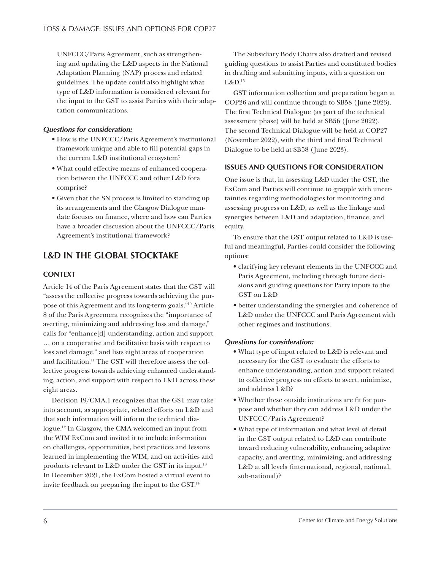UNFCCC/Paris Agreement, such as strengthening and updating the L&D aspects in the National Adaptation Planning (NAP) process and related guidelines. The update could also highlight what type of L&D information is considered relevant for the input to the GST to assist Parties with their adaptation communications.

### *Questions for consideration:*

- How is the UNFCCC/Paris Agreement's institutional framework unique and able to fill potential gaps in the current L&D institutional ecosystem?
- What could effective means of enhanced cooperation between the UNFCCC and other L&D fora comprise?
- Given that the SN process is limited to standing up its arrangements and the Glasgow Dialogue mandate focuses on finance, where and how can Parties have a broader discussion about the UNFCCC/Paris Agreement's institutional framework?

# **L&D IN THE GLOBAL STOCKTAKE**

# **CONTEXT**

Article 14 of the Paris Agreement states that the GST will "assess the collective progress towards achieving the purpose of this Agreement and its long-term goals."10 Article 8 of the Paris Agreement recognizes the "importance of averting, minimizing and addressing loss and damage," calls for "enhance[d] understanding, action and support … on a cooperative and facilitative basis with respect to loss and damage," and lists eight areas of cooperation and facilitation.11 The GST will therefore assess the collective progress towards achieving enhanced understanding, action, and support with respect to L&D across these eight areas.

Decision 19/CMA.1 recognizes that the GST may take into account, as appropriate, related efforts on L&D and that such information will inform the technical dialogue.12 In Glasgow, the CMA welcomed an input from the WIM ExCom and invited it to include information on challenges, opportunities, best practices and lessons learned in implementing the WIM, and on activities and products relevant to L&D under the GST in its input.<sup>13</sup> In December 2021, the ExCom hosted a virtual event to invite feedback on preparing the input to the GST.14

The Subsidiary Body Chairs also drafted and revised guiding questions to assist Parties and constituted bodies in drafting and submitting inputs, with a question on L&D.15

GST information collection and preparation began at COP26 and will continue through to SB58 (June 2023). The first Technical Dialogue (as part of the technical assessment phase) will be held at SB56 (June 2022). The second Technical Dialogue will be held at COP27 (November 2022), with the third and final Technical Dialogue to be held at SB58 (June 2023).

### **ISSUES AND QUESTIONS FOR CONSIDERATION**

One issue is that, in assessing L&D under the GST, the ExCom and Parties will continue to grapple with uncertainties regarding methodologies for monitoring and assessing progress on L&D, as well as the linkage and synergies between L&D and adaptation, finance, and equity.

To ensure that the GST output related to L&D is useful and meaningful, Parties could consider the following options:

- clarifying key relevant elements in the UNFCCC and Paris Agreement, including through future decisions and guiding questions for Party inputs to the GST on L&D
- better understanding the synergies and coherence of L&D under the UNFCCC and Paris Agreement with other regimes and institutions.

### *Questions for consideration:*

- What type of input related to L&D is relevant and necessary for the GST to evaluate the efforts to enhance understanding, action and support related to collective progress on efforts to avert, minimize, and address L&D?
- Whether these outside institutions are fit for purpose and whether they can address L&D under the UNFCCC/Paris Agreement?
- What type of information and what level of detail in the GST output related to L&D can contribute toward reducing vulnerability, enhancing adaptive capacity, and averting, minimizing, and addressing L&D at all levels (international, regional, national, sub-national)?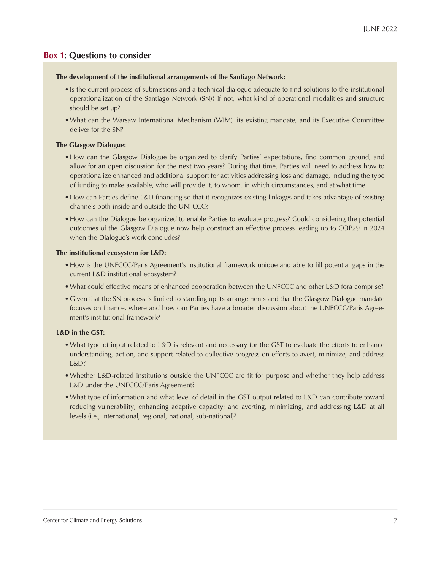### **Box 1: Questions to consider**

#### **The development of the institutional arrangements of the Santiago Network:**

- •Is the current process of submissions and a technical dialogue adequate to find solutions to the institutional operationalization of the Santiago Network (SN)? If not, what kind of operational modalities and structure should be set up?
- •What can the Warsaw International Mechanism (WIM), its existing mandate, and its Executive Committee deliver for the SN?

### **The Glasgow Dialogue:**

- •How can the Glasgow Dialogue be organized to clarify Parties' expectations, find common ground, and allow for an open discussion for the next two years? During that time, Parties will need to address how to operationalize enhanced and additional support for activities addressing loss and damage, including the type of funding to make available, who will provide it, to whom, in which circumstances, and at what time.
- •How can Parties define L&D financing so that it recognizes existing linkages and takes advantage of existing channels both inside and outside the UNFCCC?
- •How can the Dialogue be organized to enable Parties to evaluate progress? Could considering the potential outcomes of the Glasgow Dialogue now help construct an effective process leading up to COP29 in 2024 when the Dialogue's work concludes?

### **The institutional ecosystem for L&D:**

- •How is the UNFCCC/Paris Agreement's institutional framework unique and able to fill potential gaps in the current L&D institutional ecosystem?
- •What could effective means of enhanced cooperation between the UNFCCC and other L&D fora comprise?
- •Given that the SN process is limited to standing up its arrangements and that the Glasgow Dialogue mandate focuses on finance, where and how can Parties have a broader discussion about the UNFCCC/Paris Agreement's institutional framework?

### **L&D in the GST:**

- •What type of input related to L&D is relevant and necessary for the GST to evaluate the efforts to enhance understanding, action, and support related to collective progress on efforts to avert, minimize, and address L&D?
- •Whether L&D-related institutions outside the UNFCCC are fit for purpose and whether they help address L&D under the UNFCCC/Paris Agreement?
- •What type of information and what level of detail in the GST output related to L&D can contribute toward reducing vulnerability; enhancing adaptive capacity; and averting, minimizing, and addressing L&D at all levels (i.e., international, regional, national, sub-national)?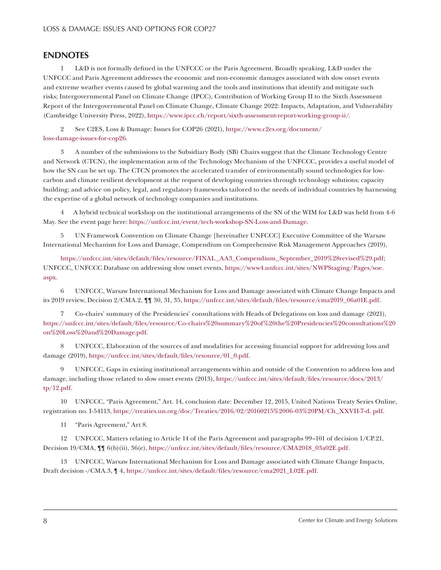# **ENDNOTES**

1 L&D is not formally defined in the UNFCCC or the Paris Agreement. Broadly speaking, L&D under the UNFCCC and Paris Agreement addresses the economic and non-economic damages associated with slow onset events and extreme weather events caused by global warming and the tools and institutions that identify and mitigate such risks; Intergovernmental Panel on Climate Change (IPCC), Contribution of Working Group II to the Sixth Assessment Report of the Intergovernmental Panel on Climate Change, Climate Change 2022: Impacts, Adaptation, and Vulnerability (Cambridge University Press, 2022), https://www.ipcc.ch/report/sixth-assessment-report-working-group-ii/.

2 See C2ES, Loss & Damage: Issues for COP26 (2021), https://www.c2es.org/document/ loss-damage-issues-for-cop26.

3 A number of the submissions to the Subsidiary Body (SB) Chairs suggest that the Climate Technology Centre and Network (CTCN), the implementation arm of the Technology Mechanism of the UNFCCC, provides a useful model of how the SN can be set up. The CTCN promotes the accelerated transfer of environmentally sound technologies for lowcarbon and climate resilient development at the request of developing countries through technology solutions; capacity building; and advice on policy, legal, and regulatory frameworks tailored to the needs of individual countries by harnessing the expertise of a global network of technology companies and institutions.

4 A hybrid technical workshop on the institutional arrangements of the SN of the WIM for L&D was held from 4-6 May. See the event page here: https://unfccc.int/event/tech-workshop-SN-Loss-and-Damage.

5 UN Framework Convention on Climate Change [hereinafter UNFCCC] Executive Committee of the Warsaw International Mechanism for Loss and Damage, Compendium on Comprehensive Risk Management Approaches (2019),

https://unfccc.int/sites/default/files/resource/FINAL\_AA3\_Compendium\_September\_2019%28revised%29.pdf; UNFCCC, UNFCCC Database on addressing slow onset events, https://www4.unfccc.int/sites/NWPStaging/Pages/soe. aspx.

6 UNFCCC, Warsaw International Mechanism for Loss and Damage associated with Climate Change Impacts and its 2019 review, Decision 2/CMA.2, ¶¶ 30, 31, 35, https://unfccc.int/sites/default/files/resource/cma2019\_06a01E.pdf.

7 Co-chairs' summary of the Presidencies' consultations with Heads of Delegations on loss and damage (2021), https://unfccc.int/sites/default/files/resource/Co-chairs%20summary%20of%20the%20Presidencies%20consultations%20 on%20Loss%20and%20Damage.pdf.

8 UNFCCC, Elaboration of the sources of and modalities for accessing financial support for addressing loss and damage (2019), https://unfccc.int/sites/default/files/resource/01\_0.pdf.

9 UNFCCC, Gaps in existing institutional arrangements within and outside of the Convention to address loss and damage, including those related to slow onset events (2013), https://unfccc.int/sites/default/files/resource/docs/2013/ tp/12.pdf.

10 UNFCCC, "Paris Agreement," Art. 14, conclusion date: December 12, 2015, United Nations Treaty Series Online, registration no. I-54113, https://treaties.un.org/doc/Treaties/2016/02/20160215%2006-03%20PM/Ch\_XXVII-7-d. pdf.

11 "Paris Agreement," Art 8.

12 UNFCCC, Matters relating to Article 14 of the Paris Agreement and paragraphs 99–101 of decision 1/CP.21, Decision 19/CMA, ¶¶ 6(b)(ii), 36(e), https://unfccc.int/sites/default/files/resource/CMA2018\_03a02E.pdf.

13 UNFCCC, Warsaw International Mechanism for Loss and Damage associated with Climate Change Impacts, Draft decision -/CMA.3, ¶ 4, https://unfccc.int/sites/default/files/resource/cma2021\_L02E.pdf.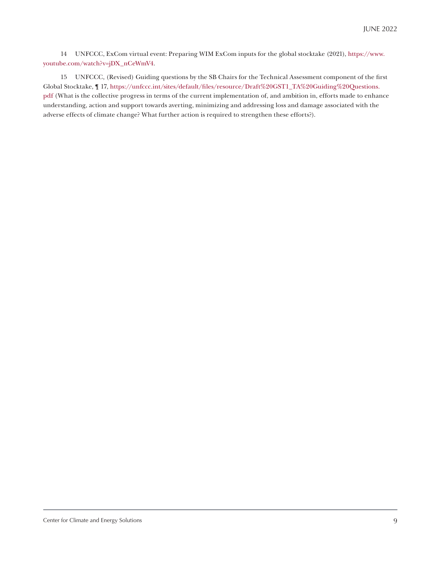14 UNFCCC, ExCom virtual event: Preparing WIM ExCom inputs for the global stocktake (2021), https://www. youtube.com/watch?v=jDX\_nCeWmV4.

15 UNFCCC, (Revised) Guiding questions by the SB Chairs for the Technical Assessment component of the first Global Stocktake, ¶ 17, https://unfccc.int/sites/default/files/resource/Draft%20GST1\_TA%20Guiding%20Questions. pdf (What is the collective progress in terms of the current implementation of, and ambition in, efforts made to enhance understanding, action and support towards averting, minimizing and addressing loss and damage associated with the adverse effects of climate change? What further action is required to strengthen these efforts?).